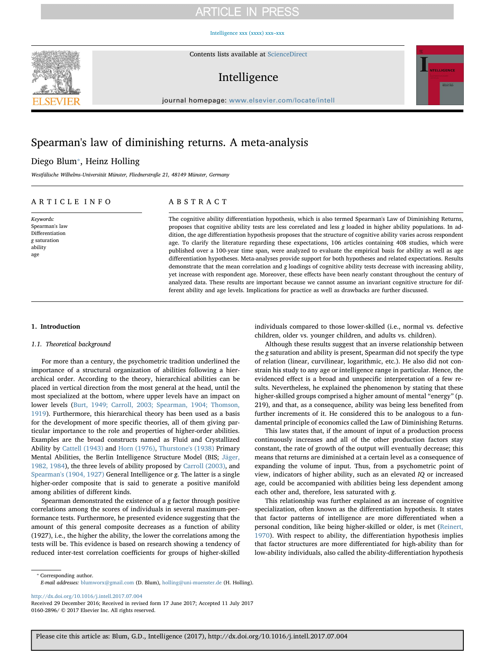# **ARTICLE IN PRESS**

[Intelligence xxx \(xxxx\) xxx–xxx](http://dx.doi.org/10.1016/j.intell.2017.07.004)



Contents lists available at [ScienceDirect](http://www.sciencedirect.com/science/journal/01602896)

# Intelligence



journal homepage: [www.elsevier.com/locate/intell](http://www.elsevier.com/locate/intell)

# Spearman's law of diminishing returns. A meta-analysis

# Diego Blum<sup>\*</sup>, Heinz Holling

Westfälische Wilhelms-Universität Münster, Fliednerstraße 21, 48149 Münster, Germany

# ARTICLE INFO

Keywords: Spearman's law Differentiation g saturation ability age

# ABSTRACT

The cognitive ability differentiation hypothesis, which is also termed Spearman's Law of Diminishing Returns, proposes that cognitive ability tests are less correlated and less g loaded in higher ability populations. In addition, the age differentiation hypothesis proposes that the structure of cognitive ability varies across respondent age. To clarify the literature regarding these expectations, 106 articles containing 408 studies, which were published over a 100-year time span, were analyzed to evaluate the empirical basis for ability as well as age differentiation hypotheses. Meta-analyses provide support for both hypotheses and related expectations. Results demonstrate that the mean correlation and g loadings of cognitive ability tests decrease with increasing ability, yet increase with respondent age. Moreover, these effects have been nearly constant throughout the century of analyzed data. These results are important because we cannot assume an invariant cognitive structure for different ability and age levels. Implications for practice as well as drawbacks are further discussed.

# 1. Introduction

### 1.1. Theoretical background

For more than a century, the psychometric tradition underlined the importance of a structural organization of abilities following a hierarchical order. According to the theory, hierarchical abilities can be placed in vertical direction from the most general at the head, until the most specialized at the bottom, where upper levels have an impact on lower levels [\(Burt, 1949; Carroll, 2003; Spearman, 1904; Thomson,](#page-6-0) [1919\)](#page-6-0). Furthermore, this hierarchical theory has been used as a basis for the development of more specific theories, all of them giving particular importance to the role and properties of higher-order abilities. Examples are the broad constructs named as Fluid and Crystallized Ability by [Cattell \(1943\)](#page-6-1) and [Horn \(1976\),](#page-6-2) [Thurstone's \(1938\)](#page-6-3) Primary Mental Abilities, the Berlin Intelligence Structure Model (BIS; [Jäger,](#page-6-4) [1982, 1984\)](#page-6-4), the three levels of ability proposed by [Carroll \(2003\)](#page-6-5), and [Spearman's \(1904, 1927\)](#page-6-6) General Intelligence or g. The latter is a single higher-order composite that is said to generate a positive manifold among abilities of different kinds.

Spearman demonstrated the existence of a g factor through positive correlations among the scores of individuals in several maximum-performance tests. Furthermore, he presented evidence suggesting that the amount of this general composite decreases as a function of ability (1927), i.e., the higher the ability, the lower the correlations among the tests will be. This evidence is based on research showing a tendency of reduced inter-test correlation coefficients for groups of higher-skilled

individuals compared to those lower-skilled (i.e., normal vs. defective children, older vs. younger children, and adults vs. children).

Although these results suggest that an inverse relationship between the g saturation and ability is present, Spearman did not specify the type of relation (linear, curvilinear, logarithmic, etc.). He also did not constrain his study to any age or intelligence range in particular. Hence, the evidenced effect is a broad and unspecific interpretation of a few results. Nevertheless, he explained the phenomenon by stating that these higher-skilled groups comprised a higher amount of mental "energy" (p. 219), and that, as a consequence, ability was being less benefited from further increments of it. He considered this to be analogous to a fundamental principle of economics called the Law of Diminishing Returns.

This law states that, if the amount of input of a production process continuously increases and all of the other production factors stay constant, the rate of growth of the output will eventually decrease; this means that returns are diminished at a certain level as a consequence of expanding the volume of input. Thus, from a psychometric point of view, indicators of higher ability, such as an elevated IQ or increased age, could be accompanied with abilities being less dependent among each other and, therefore, less saturated with g.

This relationship was further explained as an increase of cognitive specialization, often known as the differentiation hypothesis. It states that factor patterns of intelligence are more differentiated when a personal condition, like being higher-skilled or older, is met ([Reinert,](#page-6-7) [1970\)](#page-6-7). With respect to ability, the differentiation hypothesis implies that factor structures are more differentiated for high-ability than for low-ability individuals, also called the ability-differentiation hypothesis

<http://dx.doi.org/10.1016/j.intell.2017.07.004>

<span id="page-0-0"></span><sup>⁎</sup> Corresponding author. E-mail addresses: [blumworx@gmail.com](mailto:blumworx@gmail.com) (D. Blum), [holling@uni-muenster.de](mailto:holling@uni-muenster.de) (H. Holling).

Received 29 December 2016; Received in revised form 17 June 2017; Accepted 11 July 2017 0160-2896/ © 2017 Elsevier Inc. All rights reserved.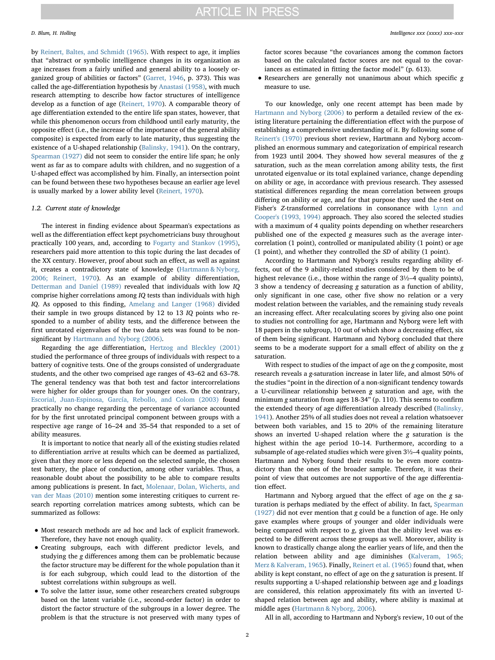by [Reinert, Baltes, and Schmidt \(1965\)](#page-6-8). With respect to age, it implies that "abstract or symbolic intelligence changes in its organization as age increases from a fairly unified and general ability to a loosely organized group of abilities or factors" ([Garret, 1946](#page-6-9), p. 373). This was called the age-differentiation hypothesis by [Anastasi \(1958\),](#page-6-10) with much research attempting to describe how factor structures of intelligence develop as a function of age [\(Reinert, 1970](#page-6-7)). A comparable theory of age differentiation extended to the entire life span states, however, that while this phenomenon occurs from childhood until early maturity, the opposite effect (i.e., the increase of the importance of the general ability composite) is expected from early to late maturity, thus suggesting the existence of a U-shaped relationship ([Balinsky, 1941\)](#page-6-11). On the contrary, [Spearman \(1927\)](#page-6-12) did not seem to consider the entire life span; he only went as far as to compare adults with children, and no suggestion of a U-shaped effect was accomplished by him. Finally, an intersection point can be found between these two hypotheses because an earlier age level is usually marked by a lower ability level [\(Reinert, 1970\)](#page-6-7).

### 1.2. Current state of knowledge

The interest in finding evidence about Spearman's expectations as well as the differentiation effect kept psychometricians busy throughout practically 100 years, and, according to [Fogarty and Stankov \(1995\)](#page-6-13), researchers paid more attention to this topic during the last decades of the XX century. However, proof about such an effect, as well as against it, creates a contradictory state of knowledge ([Hartmann & Nyborg,](#page-6-14) [2006; Reinert, 1970](#page-6-14)). As an example of ability differentiation, [Detterman and Daniel \(1989\)](#page-6-15) revealed that individuals with low IQ comprise higher correlations among IQ tests than individuals with high IQ. As opposed to this finding, [Amelang and Langer \(1968\)](#page-6-16) divided their sample in two groups distanced by 12 to 13 IQ points who responded to a number of ability tests, and the difference between the first unrotated eigenvalues of the two data sets was found to be nonsignificant by [Hartmann and Nyborg \(2006\).](#page-6-14)

Regarding the age differentiation, [Hertzog and Bleckley \(2001\)](#page-6-17) studied the performance of three groups of individuals with respect to a battery of cognitive tests. One of the groups consisted of undergraduate students, and the other two comprised age ranges of 43–62 and 63–78. The general tendency was that both test and factor intercorrelations were higher for older groups than for younger ones. On the contrary, [Escorial, Juan-Espinosa, García, Rebollo, and Colom \(2003\)](#page-6-18) found practically no change regarding the percentage of variance accounted for by the first unrotated principal component between groups with a respective age range of 16–24 and 35–54 that responded to a set of ability measures.

It is important to notice that nearly all of the existing studies related to differentiation arrive at results which can be deemed as partialized, given that they more or less depend on the selected sample, the chosen test battery, the place of conduction, among other variables. Thus, a reasonable doubt about the possibility to be able to compare results among publications is present. In fact, [Molenaar, Dolan, Wicherts, and](#page-6-19) [van der Maas \(2010\)](#page-6-19) mention some interesting critiques to current research reporting correlation matrices among subtests, which can be summarized as follows:

- Most research methods are ad hoc and lack of explicit framework. Therefore, they have not enough quality.
- Creating subgroups, each with different predictor levels, and studying the g differences among them can be problematic because the factor structure may be different for the whole population than it is for each subgroup, which could lead to the distortion of the subtest correlations within subgroups as well.
- To solve the latter issue, some other researchers created subgroups based on the latent variable (i.e., second-order factor) in order to distort the factor structure of the subgroups in a lower degree. The problem is that the structure is not preserved with many types of

factor scores because "the covariances among the common factors based on the calculated factor scores are not equal to the covariances as estimated in fitting the factor model" (p. 613).

• Researchers are generally not unanimous about which specifi<sup>c</sup> <sup>g</sup> measure to use.

To our knowledge, only one recent attempt has been made by [Hartmann and Nyborg \(2006\)](#page-6-14) to perform a detailed review of the existing literature pertaining the differentiation effect with the purpose of establishing a comprehensive understanding of it. By following some of [Reinert's \(1970\)](#page-6-7) previous short review, Hartmann and Nyborg accomplished an enormous summary and categorization of empirical research from 1923 until 2004. They showed how several measures of the g saturation, such as the mean correlation among ability tests, the first unrotated eigenvalue or its total explained variance, change depending on ability or age, in accordance with previous research. They assessed statistical differences regarding the mean correlation between groups differing on ability or age, and for that purpose they used the t-test on Fisher's Z-transformed correlations in consonance with [Lynn and](#page-6-20) [Cooper's \(1993, 1994\)](#page-6-20) approach. They also scored the selected studies with a maximum of 4 quality points depending on whether researchers published one of the expected g measures such as the average intercorrelation (1 point), controlled or manipulated ability (1 point) or age (1 point), and whether they controlled the SD of ability (1 point).

According to Hartmann and Nyborg's results regarding ability effects, out of the 9 ability-related studies considered by them to be of highest relevance (i.e., those within the range of  $3\frac{1}{2}$ –4 quality points), 3 show a tendency of decreasing g saturation as a function of ability, only significant in one case, other five show no relation or a very modest relation between the variables, and the remaining study reveals an increasing effect. After recalculating scores by giving also one point to studies not controlling for age, Hartmann and Nyborg were left with 18 papers in the subgroup, 10 out of which show a decreasing effect, six of them being significant. Hartmann and Nyborg concluded that there seems to be a moderate support for a small effect of ability on the g saturation.

With respect to studies of the impact of age on the g composite, most research reveals a g-saturation increase in later life, and almost 50% of the studies "point in the direction of a non-significant tendency towards a U-curvilinear relationship between g saturation and age, with the minimum g saturation from ages 18-34" (p. 110). This seems to confirm the extended theory of age differentiation already described ([Balinsky,](#page-6-11) [1941\)](#page-6-11). Another 25% of all studies does not reveal a relation whatsoever between both variables, and 15 to 20% of the remaining literature shows an inverted U-shaped relation where the g saturation is the highest within the age period 10–14. Furthermore, according to a subsample of age-related studies which were given 3½–4 quality points, Hartmann and Nyborg found their results to be even more contradictory than the ones of the broader sample. Therefore, it was their point of view that outcomes are not supportive of the age differentiation effect.

Hartmann and Nyborg argued that the effect of age on the g saturation is perhaps mediated by the effect of ability. In fact, [Spearman](#page-6-12) [\(1927\)](#page-6-12) did not ever mention that g could be a function of age. He only gave examples where groups of younger and older individuals were being compared with respect to g, given that the ability level was expected to be different across these groups as well. Moreover, ability is known to drastically change along the earlier years of life, and then the relation between ability and age diminishes ([Kalveram, 1965;](#page-6-21) [Merz & Kalveram, 1965\)](#page-6-21). Finally, [Reinert et al. \(1965\)](#page-6-8) found that, when ability is kept constant, no effect of age on the g saturation is present. If results supporting a U-shaped relationship between age and  $g$  loadings are considered, this relation approximately fits with an inverted Ushaped relation between age and ability, where ability is maximal at middle ages ([Hartmann & Nyborg, 2006\)](#page-6-14).

All in all, according to Hartmann and Nyborg's review, 10 out of the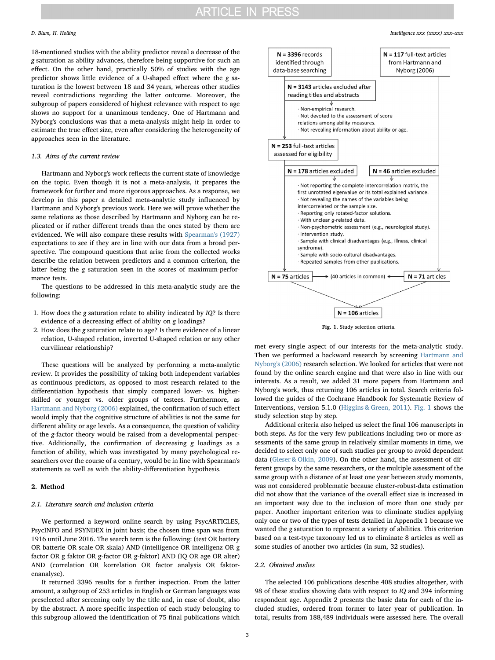18-mentioned studies with the ability predictor reveal a decrease of the g saturation as ability advances, therefore being supportive for such an effect. On the other hand, practically 50% of studies with the age predictor shows little evidence of a U-shaped effect where the g saturation is the lowest between 18 and 34 years, whereas other studies reveal contradictions regarding the latter outcome. Moreover, the subgroup of papers considered of highest relevance with respect to age shows no support for a unanimous tendency. One of Hartmann and Nyborg's conclusions was that a meta-analysis might help in order to estimate the true effect size, even after considering the heterogeneity of approaches seen in the literature.

# 1.3. Aims of the current review

Hartmann and Nyborg's work reflects the current state of knowledge on the topic. Even though it is not a meta-analysis, it prepares the framework for further and more rigorous approaches. As a response, we develop in this paper a detailed meta-analytic study influenced by Hartmann and Nyborg's previous work. Here we will prove whether the same relations as those described by Hartmann and Nyborg can be replicated or if rather different trends than the ones stated by them are evidenced. We will also compare these results with [Spearman's \(1927\)](#page-6-12) expectations to see if they are in line with our data from a broad perspective. The compound questions that arise from the collected works describe the relation between predictors and a common criterion, the latter being the g saturation seen in the scores of maximum-performance tests.

The questions to be addressed in this meta-analytic study are the following:

- 1. How does the g saturation relate to ability indicated by  $IQ$ ? Is there evidence of a decreasing effect of ability on g loadings?
- 2. How does the g saturation relate to age? Is there evidence of a linear relation, U-shaped relation, inverted U-shaped relation or any other curvilinear relationship?

These questions will be analyzed by performing a meta-analytic review. It provides the possibility of taking both independent variables as continuous predictors, as opposed to most research related to the differentiation hypothesis that simply compared lower- vs. higherskilled or younger vs. older groups of testees. Furthermore, as [Hartmann and Nyborg \(2006\)](#page-6-14) explained, the confirmation of such effect would imply that the cognitive structure of abilities is not the same for different ability or age levels. As a consequence, the question of validity of the g-factor theory would be raised from a developmental perspective. Additionally, the confirmation of decreasing g loadings as a function of ability, which was investigated by many psychological researchers over the course of a century, would be in line with Spearman's statements as well as with the ability-differentiation hypothesis.

# 2. Method

## 2.1. Literature search and inclusion criteria

We performed a keyword online search by using PsycARTICLES, PsycINFO and PSYNDEX in joint basis; the chosen time span was from 1916 until June 2016. The search term is the following: (test OR battery OR batterie OR scale OR skala) AND (intelligence OR intelligenz OR g factor OR g faktor OR g-factor OR g-faktor) AND (IQ OR age OR alter) AND (correlation OR korrelation OR factor analysis OR faktorenanalyse).

It returned 3396 results for a further inspection. From the latter amount, a subgroup of 253 articles in English or German languages was preselected after screening only by the title and, in case of doubt, also by the abstract. A more specific inspection of each study belonging to this subgroup allowed the identification of 75 final publications which

<span id="page-2-0"></span>

Fig. 1. Study selection criteria.

met every single aspect of our interests for the meta-analytic study. Then we performed a backward research by screening [Hartmann and](#page-6-14) [Nyborg's \(2006\)](#page-6-14) research selection. We looked for articles that were not found by the online search engine and that were also in line with our interests. As a result, we added 31 more papers from Hartmann and Nyborg's work, thus returning 106 articles in total. Search criteria followed the guides of the Cochrane Handbook for Systematic Review of Interventions, version 5.1.0 ([Higgins & Green, 2011](#page-6-22)). [Fig. 1](#page-2-0) shows the study selection step by step.

Additional criteria also helped us select the final 106 manuscripts in both steps. As for the very few publications including two or more assessments of the same group in relatively similar moments in time, we decided to select only one of such studies per group to avoid dependent data ([Gleser & Olkin, 2009\)](#page-6-23). On the other hand, the assessment of different groups by the same researchers, or the multiple assessment of the same group with a distance of at least one year between study moments, was not considered problematic because cluster-robust-data estimation did not show that the variance of the overall effect size is increased in an important way due to the inclusion of more than one study per paper. Another important criterion was to eliminate studies applying only one or two of the types of tests detailed in Appendix 1 because we wanted the g saturation to represent a variety of abilities. This criterion based on a test-type taxonomy led us to eliminate 8 articles as well as some studies of another two articles (in sum, 32 studies).

# 2.2. Obtained studies

The selected 106 publications describe 408 studies altogether, with 98 of these studies showing data with respect to IQ and 394 informing respondent age. Appendix 2 presents the basic data for each of the included studies, ordered from former to later year of publication. In total, results from 188,489 individuals were assessed here. The overall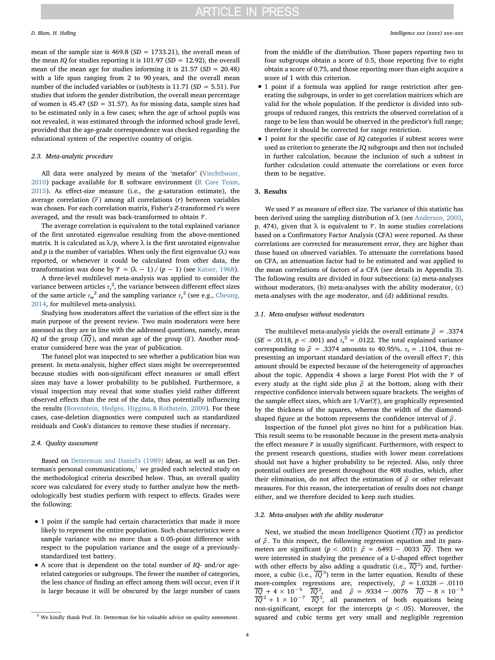mean of the sample size is 469.8 ( $SD = 1733.21$ ), the overall mean of the mean IQ for studies reporting it is 101.97 ( $SD = 12.92$ ), the overall mean of the mean age for studies informing it is  $21.57$  ( $SD = 20.48$ ) with a life span ranging from 2 to 90 years, and the overall mean number of the included variables or (sub)tests is 11.71 ( $SD = 5.51$ ). For studies that inform the gender distribution, the overall mean percentage of women is 45.47 ( $SD = 31.57$ ). As for missing data, sample sizes had to be estimated only in a few cases; when the age of school pupils was not revealed, it was estimated through the informed school grade level, provided that the age-grade correspondence was checked regarding the educational system of the respective country of origin.

# 2.3. Meta-analytic procedure

All data were analyzed by means of the 'metafor' ([Viechtbauer,](#page-6-24) [2010\)](#page-6-24) package available for R software environment [\(R Core Team,](#page-6-25) [2015\)](#page-6-25). As effect-size measure (i.e., the g-saturation estimate), the average correlation  $(\overline{r})$  among all correlations  $(r)$  between variables was chosen. For each correlation matrix, Fisher's Z-transformed r's were averaged, and the result was back-transformed to obtain −*r* .

The average correlation is equivalent to the total explained variance of the first unrotated eigenvalue resulting from the above-mentioned matrix. It is calculated as  $\lambda/p$ , where  $\lambda$  is the first unrotated eigenvalue and p is the number of variables. When only the first eigenvalue ( $\lambda$ ) was reported, or whenever it could be calculated from other data, the transformation was done by  $\bar{r} = (\lambda - 1) / (p - 1)$  (see [Kaiser, 1968](#page-6-26)).

A three-level multilevel meta-analysis was applied to consider the variance between articles  $\tau_s^{\,2}$ , the variance between different effect sizes of the same article  $\tau_w^2$  and the sampling variance  $\tau_e^2$  (see e.g., [Cheung,](#page-6-27) [2014,](#page-6-27) for multilevel meta-analysis).

Studying how moderators affect the variation of the effect size is the main purpose of the present review. Two main moderators were here assessed as they are in line with the addressed questions, namely, mean *IQ* of the group  $(\overline{IQ})$ , and mean age of the group  $(\overline{a})$ . Another moderator considered here was the year of publication.

The funnel plot was inspected to see whether a publication bias was present. In meta-analysis, higher effect sizes might be overrepresented because studies with non-significant effect measures or small effect sizes may have a lower probability to be published. Furthermore, a visual inspection may reveal that some studies yield rather different observed effects than the rest of the data, thus potentially influencing the results [\(Borenstein, Hedges, Higgins, & Rothstein, 2009\)](#page-6-28). For these cases, case-deletion diagnostics were computed such as standardized residuals and Cook's distances to remove these studies if necessary.

### 2.4. Quality assessment

Based on [Detterman and Daniel's \(1989\)](#page-6-15) ideas, as well as on Detterman's personal communications, $<sup>1</sup>$  $<sup>1</sup>$  $<sup>1</sup>$  we graded each selected study on</sup> the methodological criteria described below. Thus, an overall quality score was calculated for every study to further analyze how the methodologically best studies perform with respect to effects. Grades were the following:

- 1 point if the sample had certain characteristics that made it more likely to represent the entire population. Such characteristics were a sample variance with no more than a 0.05-point difference with respect to the population variance and the usage of a previouslystandardized test battery.
- A score that is dependent on the total number of IQ- and/or agerelated categories or subgroups. The fewer the number of categories, the less chance of finding an effect among them will occur, even if it is large because it will be obscured by the large number of cases

4

from the middle of the distribution. Those papers reporting two to four subgroups obtain a score of 0.5, those reporting five to eight obtain a score of 0.75, and those reporting more than eight acquire a score of 1 with this criterion.

- 1 point if a formula was applied for range restriction after generating the subgroups, in order to get correlation matrices which are valid for the whole population. If the predictor is divided into subgroups of reduced ranges, this restricts the observed correlation of a range to be less than would be observed in the predictor's full range; therefore it should be corrected for range restriction.
- 1 point for the specific case of *IO* categories if subtest scores were used as criterion to generate the IQ subgroups and then not included in further calculation, because the inclusion of such a subtest in further calculation could attenuate the correlations or even force them to be negative.

# 3. Results

We used  $\bar{r}$  as measure of effect size. The variance of this statistic has been derived using the sampling distribution of  $\lambda$  (see [Anderson, 2003](#page-6-29), p. 474), given that  $\lambda$  is equivalent to  $\overline{r}$ . In some studies correlations based on a Confirmatory Factor Analysis (CFA) were reported. As these correlations are corrected for measurement error, they are higher than those based on observed variables. To attenuate the correlations based on CFA, an attenuation factor had to be estimated and was applied to the mean correlations of factors of a CFA (see details in Appendix 3). The following results are divided in four subsections: (a) meta-analyses without moderators, (b) meta-analyses with the ability moderator, (c) meta-analyses with the age moderator, and (d) additional results.

# 3.1. Meta-analyses without moderators

The multilevel meta-analysis yields the overall estimate  $\hat{\rho}$  = .3374 (SE = .0118,  $p < .001$ ) and  $\tau_s^2 = .0122$ . The total explained variance corresponding to  $\hat{\rho}$  = .3374 amounts to 40.95%.  $\tau_s$  = .1104, thus representing an important standard deviation of the overall effect  $\overline{r}$ ; this amount should be expected because of the heterogeneity of approaches about the topic. Appendix 4 shows a large Forest Plot with the −*r* of every study at the right side plus  $\hat{\rho}$  at the bottom, along with their respective confidence intervals between square brackets. The weights of the sample effect sizes, which are  $1/Var(T<sub>i</sub>)$ , are graphically represented by the thickness of the squares, whereas the width of the diamondshaped figure at the bottom represents the confidence interval of *ρ* .

Inspection of the funnel plot gives no hint for a publication bias. This result seems to be reasonable because in the present meta-analysis the effect measure  $\bar{r}$  is usually significant. Furthermore, with respect to the present research questions, studies with lower mean correlations should not have a higher probability to be rejected. Also, only three potential outliers are present throughout the 408 studies, which, after their elimination, do not affect the estimation of *ρ* or other relevant measures. For this reason, the interpretation of results does not change either, and we therefore decided to keep such studies.

# 3.2. Meta-analyses with the ability moderator

Next, we studied the mean Intelligence Quotient ( $\overline{IQ}$ ) as predictor of  $\hat{\rho}$ . To this respect, the following regression equation and its parameters are significant ( $p < .001$ ):  $\hat{\rho} = .6493 - .0033 \overline{IQ}$ . Then we were interested in studying the presence of a U-shaped effect together were interested in studying the presence of a U-shaped effect together with other effects by also adding a quadratic (i.e.,  $\overline{IQ}^2$ ) and, furtherwith other effects by also adding a quadratic (i.e.,  $\overline{IQ}^2$ ) and, furthermore, a cubic (i.e.,  $\overline{IQ}^3$ ) term in the latter equation. Results of these more-complex regressions are, respectively,  $\hat{\rho} = 1.0328 - .0110$ <br>  $\overline{IQ} + 4 \times 10^{-5}$   $\overline{IQ}^2$ , and  $\hat{\rho} = .9334 - .0076$   $\overline{IQ} - 8 \times 10^{-5}$  $\frac{\overline{IQ}}{\overline{IQ}}$  + 4 × 10<sup>-5</sup>  $\frac{\overline{IQ}}{\overline{IQ}}$ , and  $\hat{\rho} = .9334 - .0076$   $\overline{IQ} - 8 \times 10^{-5}$ <br> $\frac{\overline{IQ}}{\overline{IQ}}$  + 1 × 10<sup>-7</sup>  $\overline{IQ}$ <sup>3</sup>, all parameters of both equations being non-significant, except for the intercepts ( $p < .05$ ). Moreover, the <sup>1</sup> We kindly thank Prof. Dr. Detterman for his valuable advice on quality assessment. squared and cubic terms get very small and negligible regression

<span id="page-3-0"></span>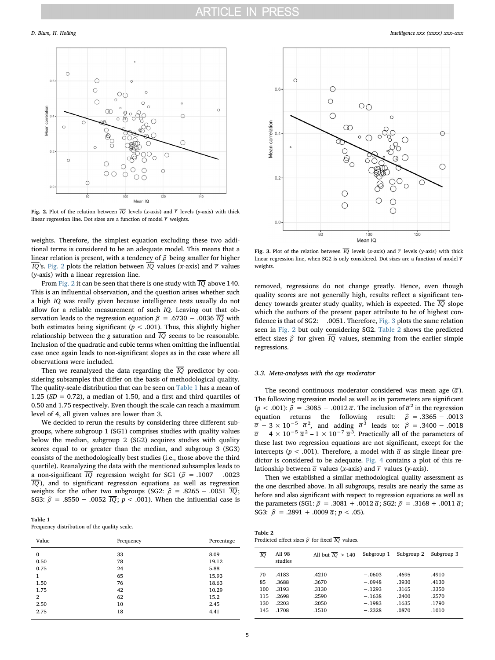<span id="page-4-0"></span>

Fig. 2. Plot of the relation between  $\overline{IQ}$  levels (x-axis) and  $\overline{r}$  levels (y-axis) with thick linear regression line. Dot sizes are a function of model  $\overline{r}$  weights.

weights. Therefore, the simplest equation excluding these two additional terms is considered to be an adequate model. This means that a linear relation is present, with a tendency of  $\hat{\rho}$  being smaller for higher  $\overline{IQ}$ 's. [Fig. 2](#page-4-0) plots the relation between  $\overline{IQ}$  values (x-axis) and  $\overline{r}$  values (y-axis) with a linear regression line.

From [Fig. 2](#page-4-0) it can be seen that there is one study with−*IQ* above 140. This is an influential observation, and the question arises whether such a high IQ was really given because intelligence tests usually do not allow for a reliable measurement of such IQ. Leaving out that observation leads to the regression equation  $\hat{\rho} = .6730 - .0036 \overline{IQ}$  with both estimates being significant ( $p < .001$ ). Thus, this slightly higher relationship between the g saturation and  $\overline{IQ}$  seems to be reasonable. Inclusion of the quadratic and cubic terms when omitting the influential case once again leads to non-significant slopes as in the case where all observations were included.

Then we reanalyzed the data regarding the  $\overline{IQ}$  predictor by considering subsamples that differ on the basis of methodological quality. The quality-scale distribution that can be seen on [Table 1](#page-4-1) has a mean of 1.25 ( $SD = 0.72$ ), a median of 1.50, and a first and third quartiles of 0.50 and 1.75 respectively. Even though the scale can reach a maximum level of 4, all given values are lower than 3.

We decided to rerun the results by considering three different subgroups, where subgroup 1 (SG1) comprises studies with quality values below the median, subgroup 2 (SG2) acquires studies with quality scores equal to or greater than the median, and subgroup 3 (SG3) consists of the methodologically best studies (i.e., those above the third quartile). Reanalyzing the data with the mentioned subsamples leads to a non-significant  $\overline{IQ}$  regression weight for SG1 ( $\hat{\rho}$  = .1007 − .0023  $\overline{IQ}$ ), and to significant regression equations as well as regression weights for the other two subgroups (SG2:  $\hat{\rho}$  = .8265 − .0051  $\overline{IQ}$ ; SG3:  $\hat{\rho}$  = .8550 – .0052  $\overline{IQ}$ ;  $p < .001$ ). When the influential case is

<span id="page-4-1"></span>

| Table 1 |                                              |  |  |
|---------|----------------------------------------------|--|--|
|         | Frequency distribution of the quality scale. |  |  |

| Value          | Frequency | Percentage |
|----------------|-----------|------------|
| $\mathbf 0$    | 33        | 8.09       |
| 0.50           | 78        | 19.12      |
| 0.75           | 24        | 5.88       |
| 1              | 65        | 15.93      |
| 1.50           | 76        | 18.63      |
| 1.75           | 42        | 10.29      |
| $\overline{2}$ | 62        | 15.2       |
| 2.50           | 10        | 2.45       |
| 2.75           | 18        | 4.41       |
|                |           |            |

<span id="page-4-2"></span>

linear regression line, when SG2 is only considered. Dot sizes are a function of model  $\overline{r}$ weights.

removed, regressions do not change greatly. Hence, even though quality scores are not generally high, results reflect a significant tendency towards greater study quality, which is expected. The−*IQ* slope which the authors of the present paper attribute to be of highest confidence is that of SG2: −.0051. Therefore, [Fig. 3](#page-4-2) plots the same relation seen in [Fig. 2](#page-4-0) but only considering SG2. [Table 2](#page-4-3) shows the predicted effect sizes  $\hat{\rho}$  for given  $\overline{IQ}$  values, stemming from the earlier simple regressions.

# 3.3. Meta-analyses with the age moderator

The second continuous moderator considered was mean age  $(\overline{a})$ . The following regression model as well as its parameters are significant  $(p < .001)$ :  $\hat{\rho} = .3085 + .0012 \bar{\alpha}$ . The inclusion of  $\bar{\alpha}^2$  in the regression equation returns the following result:  $\hat{\rho} = .3365 - .0013$ <br> $\overline{\alpha} + 3 \times 10^{-5}$   $\overline{\alpha}^2$ , and adding  $\overline{\alpha}^3$  leads to:  $\hat{\rho} = .3400 - .0018$  $\overline{a} + 3 \times 10^{-5}$   $\overline{a}^2$ , and adding  $\overline{a}^3$  leads to:  $\hat{\rho} = .3400 - .0018$ <br> $\overline{a} + 4 \times 10^{-5}$   $\overline{a}^2 - 1 \times 10^{-7}$   $\overline{a}^3$ . Practically all of the parameters of these last two regression equations are not significant, except for the intercepts ( $p < .001$ ). Therefore, a model with  $\bar{a}$  as single linear predictor is considered to be adequate. [Fig. 4](#page-5-0) contains a plot of this relationship between  $\bar{a}$  values (x-axis) and  $\bar{r}$  values (y-axis).

Then we established a similar methodological quality assessment as the one described above. In all subgroups, results are nearly the same as before and also significant with respect to regression equations as well as the parameters (SG1:  $\hat{\rho}$  = .3081 + .0012  $\bar{\alpha}$ ; SG2:  $\hat{\rho}$  = .3168 + .0011  $\bar{\alpha}$ ; SG3:  $\hat{\rho} = .2891 + .0009 \overline{\alpha}$ ;  $p < .05$ ).

<span id="page-4-3"></span>

| Table 2                                                               |  |  |  |  |
|-----------------------------------------------------------------------|--|--|--|--|
| Predicted effect sizes $\hat{\rho}$ for fixed $\overline{IO}$ values. |  |  |  |  |

| TO  | All 98<br>studies | All but $\overline{IO} > 140$ | Subgroup 1 | Subgroup 2 | Subgroup 3 |
|-----|-------------------|-------------------------------|------------|------------|------------|
| 70  | .4183             | .4210                         | $-.0603$   | .4695      | .4910      |
| 85  | .3688             | .3670                         | $-.0948$   | .3930      | .4130      |
| 100 | .3193             | .3130                         | $-.1293$   | .3165      | .3350      |
| 115 | .2698             | .2590                         | $-.1638$   | .2400      | .2570      |
| 130 | .2203             | .2050                         | $-.1983$   | .1635      | .1790      |
| 145 | .1708             | .1510                         | $-.2328$   | .0870      | .1010      |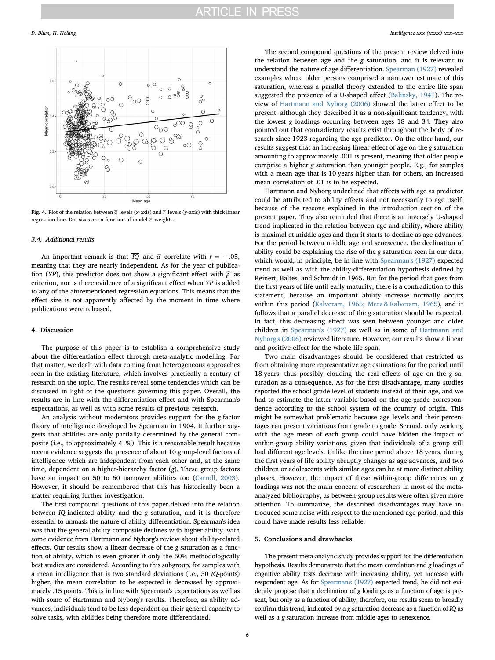<span id="page-5-0"></span>

Fig. 4. Plot of the relation between  $\overline{a}$  levels (x-axis) and  $\overline{r}$  levels (y-axis) with thick linear regression line. Dot sizes are a function of model  $\overline{r}$  weights.

# 3.4. Additional results

An important remark is that  $\overline{IQ}$  and  $\overline{a}$  correlate with  $r = -.05$ , meaning that they are nearly independent. As for the year of publication (YP), this predictor does not show a significant effect with *ρ* as criterion, nor is there evidence of a significant effect when YP is added to any of the aforementioned regression equations. This means that the effect size is not apparently affected by the moment in time where publications were released.

# 4. Discussion

The purpose of this paper is to establish a comprehensive study about the differentiation effect through meta-analytic modelling. For that matter, we dealt with data coming from heterogeneous approaches seen in the existing literature, which involves practically a century of research on the topic. The results reveal some tendencies which can be discussed in light of the questions governing this paper. Overall, the results are in line with the differentiation effect and with Spearman's expectations, as well as with some results of previous research.

An analysis without moderators provides support for the g-factor theory of intelligence developed by Spearman in 1904. It further suggests that abilities are only partially determined by the general composite (i.e., to approximately 41%). This is a reasonable result because recent evidence suggests the presence of about 10 group-level factors of intelligence which are independent from each other and, at the same time, dependent on a higher-hierarchy factor (g). These group factors have an impact on 50 to 60 narrower abilities too ([Carroll, 2003](#page-6-5)). However, it should be remembered that this has historically been a matter requiring further investigation.

The first compound questions of this paper delved into the relation between IQ-indicated ability and the g saturation, and it is therefore essential to unmask the nature of ability differentiation. Spearman's idea was that the general ability composite declines with higher ability, with some evidence from Hartmann and Nyborg's review about ability-related effects. Our results show a linear decrease of the g saturation as a function of ability, which is even greater if only the 50% methodologically best studies are considered. According to this subgroup, for samples with a mean intelligence that is two standard deviations (i.e., 30 IQ-points) higher, the mean correlation to be expected is decreased by approximately .15 points. This is in line with Spearman's expectations as well as with some of Hartmann and Nyborg's results. Therefore, as ability advances, individuals tend to be less dependent on their general capacity to solve tasks, with abilities being therefore more differentiated.

The second compound questions of the present review delved into the relation between age and the g saturation, and it is relevant to understand the nature of age differentiation. [Spearman \(1927\)](#page-6-12) revealed examples where older persons comprised a narrower estimate of this saturation, whereas a parallel theory extended to the entire life span suggested the presence of a U-shaped effect [\(Balinsky, 1941\)](#page-6-11). The review of [Hartmann and Nyborg \(2006\)](#page-6-14) showed the latter effect to be present, although they described it as a non-significant tendency, with the lowest g loadings occurring between ages 18 and 34. They also pointed out that contradictory results exist throughout the body of research since 1923 regarding the age predictor. On the other hand, our results suggest that an increasing linear effect of age on the g saturation amounting to approximately .001 is present, meaning that older people comprise a higher g saturation than younger people. E.g., for samples with a mean age that is 10 years higher than for others, an increased mean correlation of .01 is to be expected.

Hartmann and Nyborg underlined that effects with age as predictor could be attributed to ability effects and not necessarily to age itself, because of the reasons explained in the introduction section of the present paper. They also reminded that there is an inversely U-shaped trend implicated in the relation between age and ability, where ability is maximal at middle ages and then it starts to decline as age advances. For the period between middle age and senescence, the declination of ability could be explaining the rise of the g saturation seen in our data, which would, in principle, be in line with [Spearman's \(1927\)](#page-6-12) expected trend as well as with the ability-differentiation hypothesis defined by Reinert, Baltes, and Schmidt in 1965. But for the period that goes from the first years of life until early maturity, there is a contradiction to this statement, because an important ability increase normally occurs within this period [\(Kalveram, 1965; Merz & Kalveram, 1965\)](#page-6-21), and it follows that a parallel decrease of the g saturation should be expected. In fact, this decreasing effect was seen between younger and older children in [Spearman's \(1927\)](#page-6-12) as well as in some of [Hartmann and](#page-6-14) [Nyborg's \(2006\)](#page-6-14) reviewed literature. However, our results show a linear and positive effect for the whole life span.

Two main disadvantages should be considered that restricted us from obtaining more representative age estimations for the period until 18 years, thus possibly clouding the real effects of age on the g saturation as a consequence. As for the first disadvantage, many studies reported the school grade level of students instead of their age, and we had to estimate the latter variable based on the age-grade correspondence according to the school system of the country of origin. This might be somewhat problematic because age levels and their percentages can present variations from grade to grade. Second, only working with the age mean of each group could have hidden the impact of within-group ability variations, given that individuals of a group still had different age levels. Unlike the time period above 18 years, during the first years of life ability abruptly changes as age advances, and two children or adolescents with similar ages can be at more distinct ability phases. However, the impact of these within-group differences on g loadings was not the main concern of researchers in most of the metaanalyzed bibliography, as between-group results were often given more attention. To summarize, the described disadvantages may have introduced some noise with respect to the mentioned age period, and this could have made results less reliable.

# 5. Conclusions and drawbacks

The present meta-analytic study provides support for the differentiation hypothesis. Results demonstrate that the mean correlation and g loadings of cognitive ability tests decrease with increasing ability, yet increase with respondent age. As for [Spearman's \(1927\)](#page-6-12) expected trend, he did not evidently propose that a declination of g loadings as a function of age is present, but only as a function of ability; therefore, our results seem to broadly confirm this trend, indicated by a g-saturation decrease as a function of IQ as well as a g-saturation increase from middle ages to senescence.